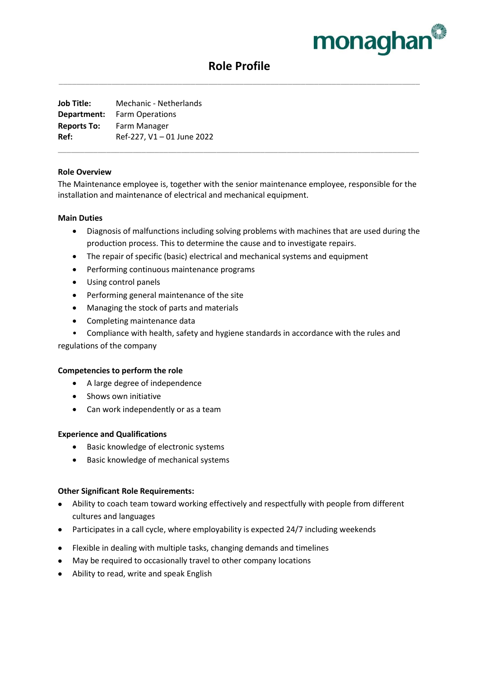

# **Role Profile** \_\_\_\_\_\_\_\_\_\_\_\_\_\_\_\_\_\_\_\_\_\_\_\_\_\_\_\_\_\_\_\_\_\_\_\_\_\_\_\_\_\_\_\_\_\_\_\_\_\_\_\_\_\_\_\_\_\_\_\_\_\_\_\_\_\_\_\_\_\_\_\_\_\_\_\_\_\_\_\_\_\_

**Job Title:** Mechanic - Netherlands **Department:** Farm Operations **Reports To:** Farm Manager **Ref:** Ref-227, V1 – 01 June 2022

## **Role Overview**

The Maintenance employee is, together with the senior maintenance employee, responsible for the installation and maintenance of electrical and mechanical equipment.

\_\_\_\_\_\_\_\_\_\_\_\_\_\_\_\_\_\_\_\_\_\_\_\_\_\_\_\_\_\_\_\_\_\_\_\_\_\_\_\_\_\_\_\_\_\_\_\_\_\_\_\_\_\_\_\_\_\_\_\_\_\_\_\_\_\_\_\_\_\_\_\_\_\_\_\_\_\_\_\_\_\_

### **Main Duties**

- Diagnosis of malfunctions including solving problems with machines that are used during the production process. This to determine the cause and to investigate repairs.
- The repair of specific (basic) electrical and mechanical systems and equipment
- Performing continuous maintenance programs
- Using control panels
- Performing general maintenance of the site
- Managing the stock of parts and materials
- Completing maintenance data
- Compliance with health, safety and hygiene standards in accordance with the rules and

regulations of the company

#### **Competencies to perform the role**

- A large degree of independence
- Shows own initiative
- Can work independently or as a team

# **Experience and Qualifications**

- Basic knowledge of electronic systems
- Basic knowledge of mechanical systems

# **Other Significant Role Requirements:**

- Ability to coach team toward working effectively and respectfully with people from different cultures and languages
- Participates in a call cycle, where employability is expected 24/7 including weekends
- Flexible in dealing with multiple tasks, changing demands and timelines
- May be required to occasionally travel to other company locations
- Ability to read, write and speak English